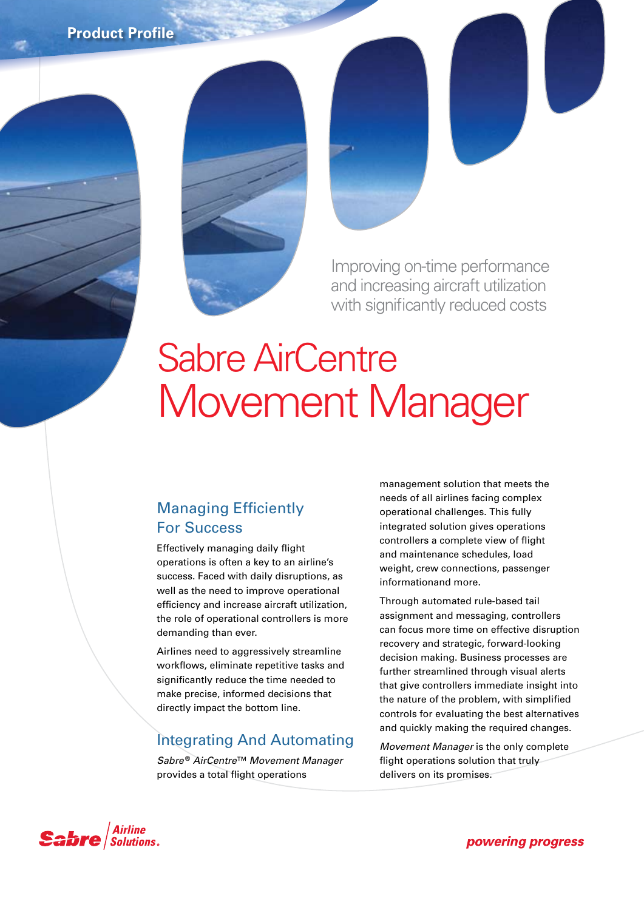**Product Profile**



Improving on-time performance and increasing aircraft utilization with significantly reduced costs

# Sabre AirCentre Movement Manager

### Managing Efficiently For Success

Effectively managing daily flight operations is often a key to an airline's success. Faced with daily disruptions, as well as the need to improve operational efficiency and increase aircraft utilization, the role of operational controllers is more demanding than ever.

Airlines need to aggressively streamline workflows, eliminate repetitive tasks and significantly reduce the time needed to make precise, informed decisions that directly impact the bottom line.

## Integrating And Automating

*Sabre* ® *AirCentre*™ *Movement Manager* provides a total flight operations

management solution that meets the needs of all airlines facing complex operational challenges. This fully integrated solution gives operations controllers a complete view of flight and maintenance schedules, load weight, crew connections, passenger informationand more.

Through automated rule-based tail assignment and messaging, controllers can focus more time on effective disruption recovery and strategic, forward-looking decision making. Business processes are further streamlined through visual alerts that give controllers immediate insight into the nature of the problem, with simplified controls for evaluating the best alternatives and quickly making the required changes.

*Movement Manager* is the only complete flight operations solution that truly delivers on its promises.



powering progress